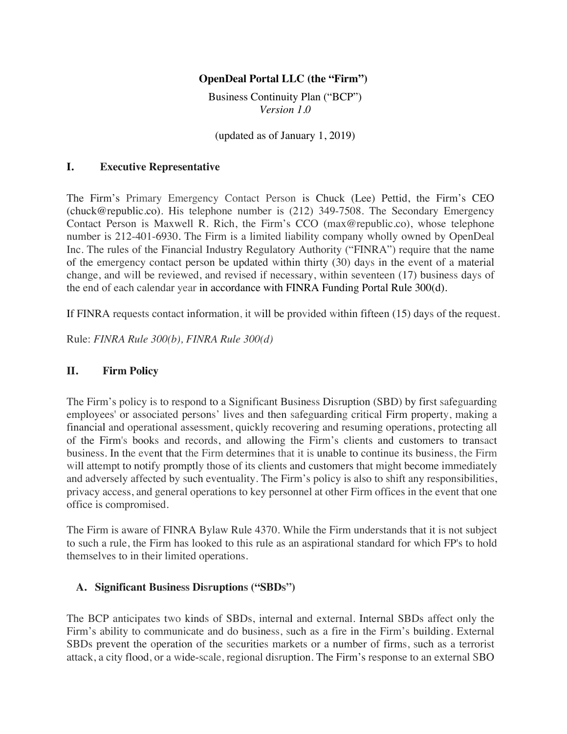#### **OpenDeal Portal LLC (the "Firm")**

Business Continuity Plan ("BCP") *Version 1.0*

(updated as of January 1, 2019)

#### **I. Executive Representative**

The Firm's Primary Emergency Contact Person is Chuck (Lee) Pettid, the Firm's CEO (chuck@republic.co). His telephone number is (212) 349-7508. The Secondary Emergency Contact Person is Maxwell R. Rich, the Firm's CCO (max@republic.co), whose telephone number is 212-401-6930. The Firm is a limited liability company wholly owned by OpenDeal Inc. The rules of the Financial Industry Regulatory Authority ("FINRA") require that the name of the emergency contact person be updated within thirty (30) days in the event of a material change, and will be reviewed, and revised if necessary, within seventeen (17) business days of the end of each calendar year in accordance with FINRA Funding Portal Rule 300(d).

If FINRA requests contact information, it will be provided within fifteen (15) days of the request.

Rule: *FINRA Rule 300(b), FINRA Rule 300(d)*

#### **II. Firm Policy**

The Firm's policy is to respond to a Significant Business Disruption (SBD) by first safeguarding employees' or associated persons' lives and then safeguarding critical Firm property, making a financial and operational assessment, quickly recovering and resuming operations, protecting all of the Firm's books and records, and allowing the Firm's clients and customers to transact business. In the event that the Firm determines that it is unable to continue its business, the Firm will attempt to notify promptly those of its clients and customers that might become immediately and adversely affected by such eventuality. The Firm's policy is also to shift any responsibilities, privacy access, and general operations to key personnel at other Firm offices in the event that one office is compromised.

The Firm is aware of FINRA Bylaw Rule 4370. While the Firm understands that it is not subject to such a rule, the Firm has looked to this rule as an aspirational standard for which FP's to hold themselves to in their limited operations.

#### **A. Significant Business Disruptions ("SBDs")**

The BCP anticipates two kinds of SBDs, internal and external. Internal SBDs affect only the Firm's ability to communicate and do business, such as a fire in the Firm's building. External SBDs prevent the operation of the securities markets or a number of firms, such as a terrorist attack, a city flood, or a wide-scale, regional disruption. The Firm's response to an external SBO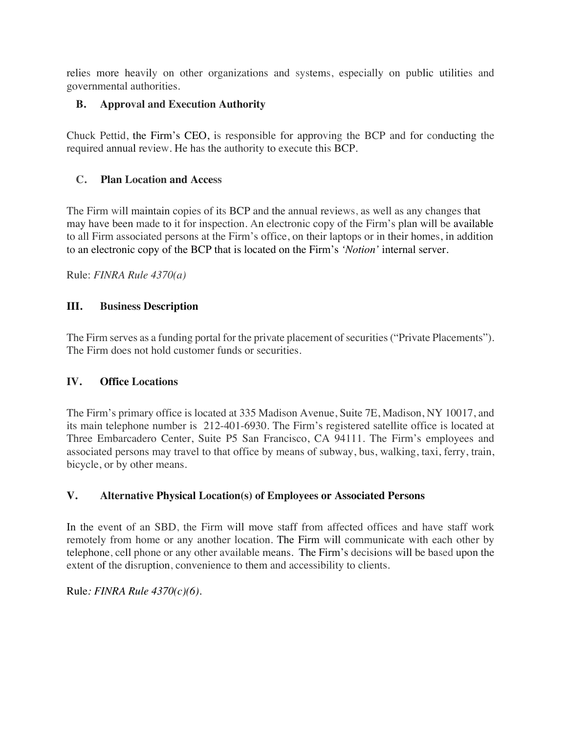relies more heavily on other organizations and systems, especially on public utilities and governmental authorities.

# **B. Approval and Execution Authority**

Chuck Pettid, the Firm's CEO, is responsible for approving the BCP and for conducting the required annual review. He has the authority to execute this BCP.

# **C. Plan Location and Access**

The Firm will maintain copies of its BCP and the annual reviews, as well as any changes that may have been made to it for inspection. An electronic copy of the Firm's plan will be available to all Firm associated persons at the Firm's office, on their laptops or in their homes, in addition to an electronic copy of the BCP that is located on the Firm's *'Notion'* internal server.

Rule: *FINRA Rule 4370(a)*

# **III. Business Description**

The Firm serves as a funding portal for the private placement of securities ("Private Placements"). The Firm does not hold customer funds or securities.

## **IV. Office Locations**

The Firm's primary office is located at 335 Madison Avenue, Suite 7E, Madison, NY 10017, and its main telephone number is 212-401-6930. The Firm's registered satellite office is located at Three Embarcadero Center, Suite P5 San Francisco, CA 94111. The Firm's employees and associated persons may travel to that office by means of subway, bus, walking, taxi, ferry, train, bicycle, or by other means.

# **V. Alternative Physical Location(s) of Employees or Associated Persons**

In the event of an SBD, the Firm will move staff from affected offices and have staff work remotely from home or any another location. The Firm will communicate with each other by telephone, cell phone or any other available means. The Firm's decisions will be based upon the extent of the disruption, convenience to them and accessibility to clients.

Rule*: FINRA Rule 4370(c)(6).*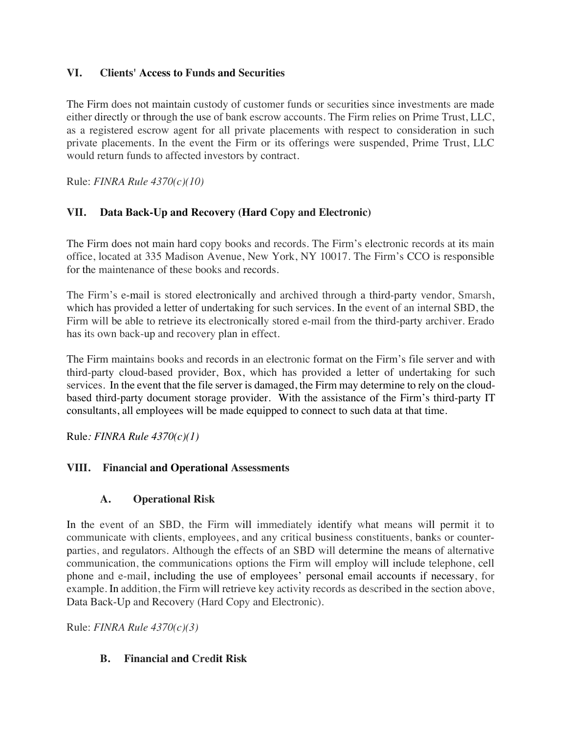### **VI. Clients' Access to Funds and Securities**

The Firm does not maintain custody of customer funds or securities since investments are made either directly or through the use of bank escrow accounts. The Firm relies on Prime Trust, LLC, as a registered escrow agent for all private placements with respect to consideration in such private placements. In the event the Firm or its offerings were suspended, Prime Trust, LLC would return funds to affected investors by contract.

Rule: *FINRA Rule 4370(c)(10)*

## **VII. Data Back-Up and Recovery (Hard Copy and Electronic)**

The Firm does not main hard copy books and records. The Firm's electronic records at its main office, located at 335 Madison Avenue, New York, NY 10017. The Firm's CCO is responsible for the maintenance of these books and records.

The Firm's e-mail is stored electronically and archived through a third-party vendor, Smarsh, which has provided a letter of undertaking for such services. In the event of an internal SBD, the Firm will be able to retrieve its electronically stored e-mail from the third-party archiver. Erado has its own back-up and recovery plan in effect.

The Firm maintains books and records in an electronic format on the Firm's file server and with third-party cloud-based provider, Box, which has provided a letter of undertaking for such services. In the event that the file server is damaged, the Firm may determine to rely on the cloudbased third-party document storage provider. With the assistance of the Firm's third-party IT consultants, all employees will be made equipped to connect to such data at that time.

Rule*: FINRA Rule 4370(c)(1)*

### **VIII. Financial and Operational Assessments**

### **A. Operational Risk**

In the event of an SBD, the Firm will immediately identify what means will permit it to communicate with clients, employees, and any critical business constituents, banks or counterparties, and regulators. Although the effects of an SBD will determine the means of alternative communication, the communications options the Firm will employ will include telephone, cell phone and e-mail, including the use of employees' personal email accounts if necessary, for example. In addition, the Firm will retrieve key activity records as described in the section above, Data Back-Up and Recovery (Hard Copy and Electronic).

Rule: *FINRA Rule 4370(c)(3)*

### **B. Financial and Credit Risk**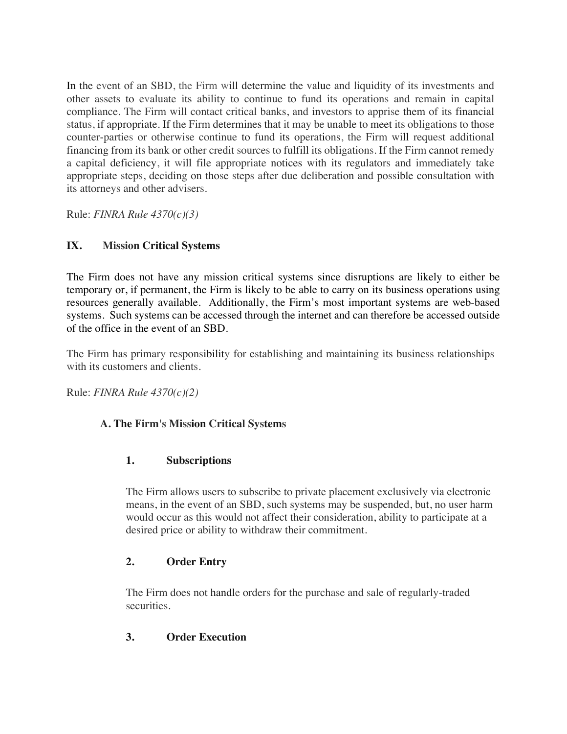In the event of an SBD, the Firm will determine the value and liquidity of its investments and other assets to evaluate its ability to continue to fund its operations and remain in capital compliance. The Firm will contact critical banks, and investors to apprise them of its financial status, if appropriate. If the Firm determines that it may be unable to meet its obligations to those counter-parties or otherwise continue to fund its operations, the Firm will request additional financing from its bank or other credit sources to fulfill its obligations. If the Firm cannot remedy a capital deficiency, it will file appropriate notices with its regulators and immediately take appropriate steps, deciding on those steps after due deliberation and possible consultation with its attorneys and other advisers.

Rule: *FINRA Rule 4370(c)(3)*

## **IX. Mission Critical Systems**

The Firm does not have any mission critical systems since disruptions are likely to either be temporary or, if permanent, the Firm is likely to be able to carry on its business operations using resources generally available. Additionally, the Firm's most important systems are web-based systems. Such systems can be accessed through the internet and can therefore be accessed outside of the office in the event of an SBD.

The Firm has primary responsibility for establishing and maintaining its business relationships with its customers and clients.

Rule: *FINRA Rule 4370(c)(2)*

## **A. The Firm's Mission Critical Systems**

## **1. Subscriptions**

The Firm allows users to subscribe to private placement exclusively via electronic means, in the event of an SBD, such systems may be suspended, but, no user harm would occur as this would not affect their consideration, ability to participate at a desired price or ability to withdraw their commitment.

## **2. Order Entry**

The Firm does not handle orders for the purchase and sale of regularly-traded securities.

## **3. Order Execution**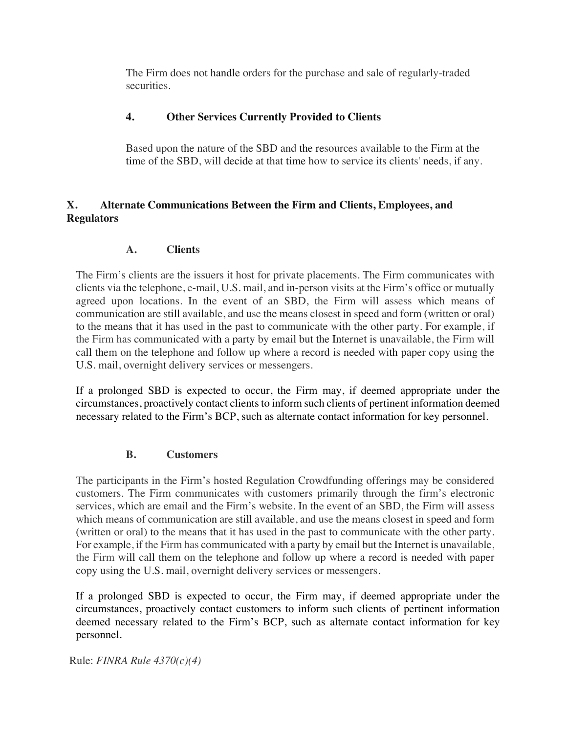The Firm does not handle orders for the purchase and sale of regularly-traded securities.

## **4. Other Services Currently Provided to Clients**

Based upon the nature of the SBD and the resources available to the Firm at the time of the SBD, will decide at that time how to service its clients' needs, if any.

## **X. Alternate Communications Between the Firm and Clients, Employees, and Regulators**

## **A. Clients**

The Firm's clients are the issuers it host for private placements. The Firm communicates with clients via the telephone, e-mail, U.S. mail, and in-person visits at the Firm's office or mutually agreed upon locations. In the event of an SBD, the Firm will assess which means of communication are still available, and use the means closest in speed and form (written or oral) to the means that it has used in the past to communicate with the other party. For example, if the Firm has communicated with a party by email but the Internet is unavailable, the Firm will call them on the telephone and follow up where a record is needed with paper copy using the U.S. mail, overnight delivery services or messengers.

If a prolonged SBD is expected to occur, the Firm may, if deemed appropriate under the circumstances, proactively contact clients to inform such clients of pertinent information deemed necessary related to the Firm's BCP, such as alternate contact information for key personnel.

### **B. Customers**

The participants in the Firm's hosted Regulation Crowdfunding offerings may be considered customers. The Firm communicates with customers primarily through the firm's electronic services, which are email and the Firm's website. In the event of an SBD, the Firm will assess which means of communication are still available, and use the means closest in speed and form (written or oral) to the means that it has used in the past to communicate with the other party. For example, if the Firm has communicated with a party by email but the Internet is unavailable, the Firm will call them on the telephone and follow up where a record is needed with paper copy using the U.S. mail, overnight delivery services or messengers.

If a prolonged SBD is expected to occur, the Firm may, if deemed appropriate under the circumstances, proactively contact customers to inform such clients of pertinent information deemed necessary related to the Firm's BCP, such as alternate contact information for key personnel.

Rule: *FINRA Rule 4370(c)(4)*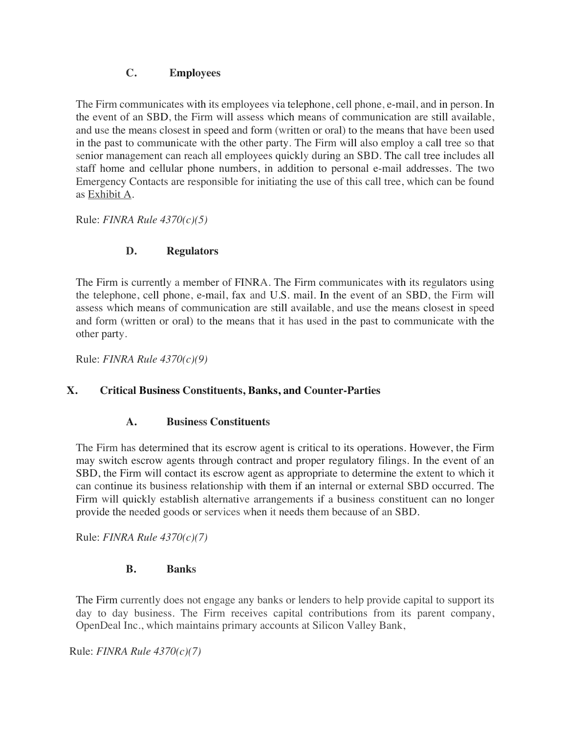### **C. Employees**

The Firm communicates with its employees via telephone, cell phone, e-mail, and in person. In the event of an SBD, the Firm will assess which means of communication are still available, and use the means closest in speed and form (written or oral) to the means that have been used in the past to communicate with the other party. The Firm will also employ a call tree so that senior management can reach all employees quickly during an SBD. The call tree includes all staff home and cellular phone numbers, in addition to personal e-mail addresses. The two Emergency Contacts are responsible for initiating the use of this call tree, which can be found as Exhibit A.

Rule: *FINRA Rule 4370(c)(5)*

## **D. Regulators**

The Firm is currently a member of FINRA. The Firm communicates with its regulators using the telephone, cell phone, e-mail, fax and U.S. mail. In the event of an SBD, the Firm will assess which means of communication are still available, and use the means closest in speed and form (written or oral) to the means that it has used in the past to communicate with the other party.

Rule: *FINRA Rule 4370(c)(9)*

### **X. Critical Business Constituents, Banks, and Counter-Parties**

### **A. Business Constituents**

The Firm has determined that its escrow agent is critical to its operations. However, the Firm may switch escrow agents through contract and proper regulatory filings. In the event of an SBD, the Firm will contact its escrow agent as appropriate to determine the extent to which it can continue its business relationship with them if an internal or external SBD occurred. The Firm will quickly establish alternative arrangements if a business constituent can no longer provide the needed goods or services when it needs them because of an SBD.

Rule: *FINRA Rule 4370(c)(7)*

### **B. Banks**

The Firm currently does not engage any banks or lenders to help provide capital to support its day to day business. The Firm receives capital contributions from its parent company, OpenDeal Inc., which maintains primary accounts at Silicon Valley Bank,

Rule: *FINRA Rule 4370(c)(7)*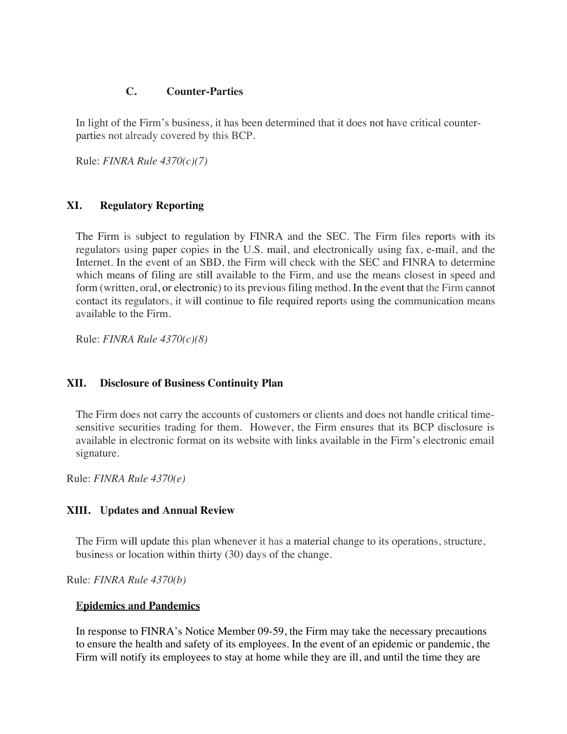#### **C. Counter-Parties**

In light of the Firm's business, it has been determined that it does not have critical counterparties not already covered by this BCP.

Rule: *FINRA Rule 4370(c)(7)*

#### **XI. Regulatory Reporting**

The Firm is subject to regulation by FINRA and the SEC. The Firm files reports with its regulators using paper copies in the U.S. mail, and electronically using fax, e-mail, and the Internet. In the event of an SBD, the Firm will check with the SEC and FINRA to determine which means of filing are still available to the Firm, and use the means closest in speed and form (written, oral, or electronic) to its previous filing method. In the event that the Firm cannot contact its regulators, it will continue to file required reports using the communication means available to the Firm.

Rule: *FINRA Rule 4370(c)(8)*

#### **XII. Disclosure of Business Continuity Plan**

The Firm does not carry the accounts of customers or clients and does not handle critical timesensitive securities trading for them. However, the Firm ensures that its BCP disclosure is available in electronic format on its website with links available in the Firm's electronic email signature.

Rule: *FINRA Rule 4370(e)*

#### **XIII. Updates and Annual Review**

The Firm will update this plan whenever it has a material change to its operations, structure, business or location within thirty (30) days of the change.

Rule: *FINRA Rule 4370(b)*

#### **Epidemics and Pandemics**

In response to FINRA's Notice Member 09-59, the Firm may take the necessary precautions to ensure the health and safety of its employees. In the event of an epidemic or pandemic, the Firm will notify its employees to stay at home while they are ill, and until the time they are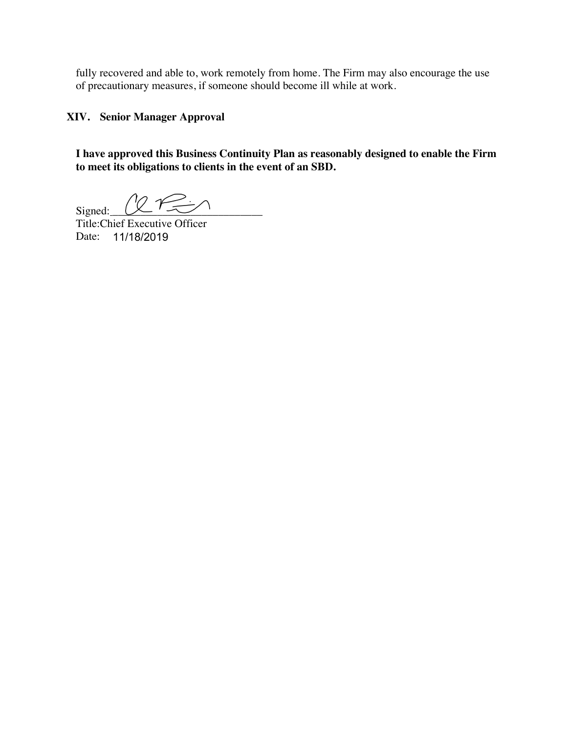fully recovered and able to, work remotely from home. The Firm may also encourage the use of precautionary measures, if someone should become ill while at work.

**XIV. Senior Manager Approval**

**I have approved this Business Continuity Plan as reasonably designed to enable the Firm to meet its obligations to clients in the event of an SBD.**

 $Signed: 272$ 

Title:Chief Executive Officer Date: 11/18/2019